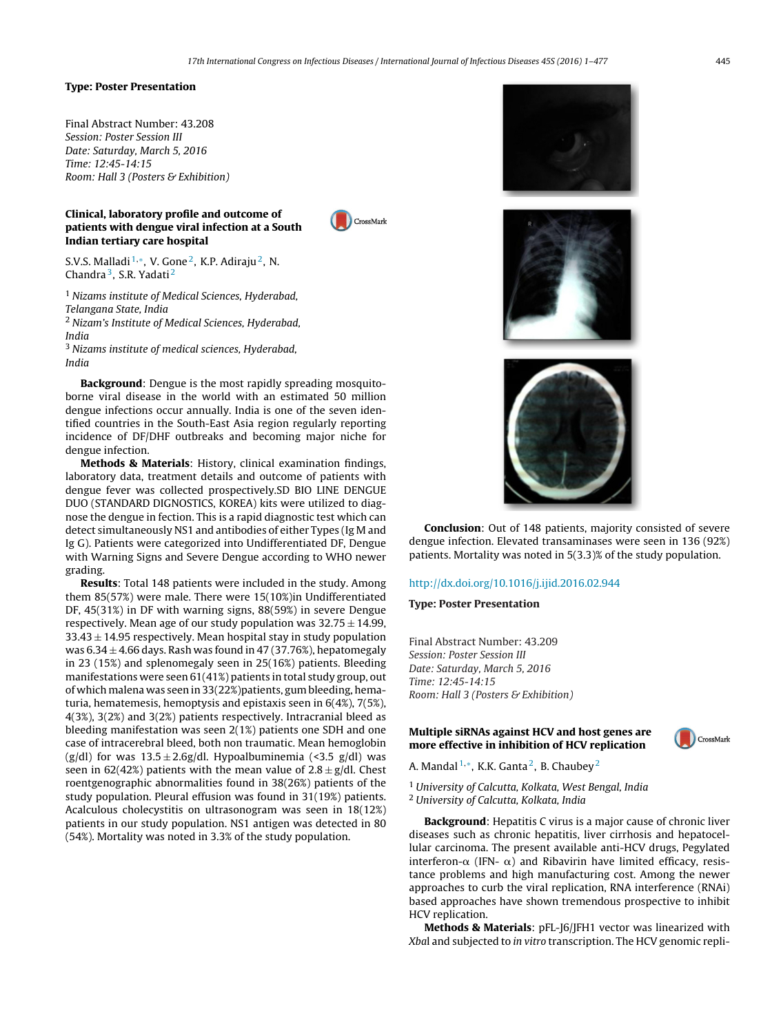CrossMark

#### **Type: Poster Presentation**

Final Abstract Number: 43.208 Session: Poster Session III Date: Saturday, March 5, 2016 Time: 12:45-14:15 Room: Hall 3 (Posters & Exhibition)

# **Clinical, laboratory profile and outcome of patients with dengue viral infection at a South Indian tertiary care hospital**

S.V.S. Malladi  $1, *$ , V. Gone <sup>2</sup>, K.P. Adiraju <sup>2</sup>, N. Chandra<sup>3</sup>, S.R. Yadati<sup>2</sup>

 $1$  Nizams institute of Medical Sciences, Hyderabad, Telangana State, India <sup>2</sup> Nizam's Institute of Medical Sciences, Hyderabad, India

<sup>3</sup> Nizams institute of medical sciences, Hyderabad, India

**Background**: Dengue is the most rapidly spreading mosquitoborne viral disease in the world with an estimated 50 million dengue infections occur annually. India is one of the seven identified countries in the South-East Asia region regularly reporting incidence of DF/DHF outbreaks and becoming major niche for dengue infection.

**Methods & Materials**: History, clinical examination findings, laboratory data, treatment details and outcome of patients with dengue fever was collected prospectively.SD BIO LINE DENGUE DUO (STANDARD DIGNOSTICS, KOREA) kits were utilized to diagnose the dengue in fection. This is a rapid diagnostic test which can detect simultaneously NS1 and antibodies of either Types (Ig M and Ig G). Patients were categorized into Undifferentiated DF, Dengue with Warning Signs and Severe Dengue according to WHO newer grading.

**Results**: Total 148 patients were included in the study. Among them 85(57%) were male. There were 15(10%)in Undifferentiated DF, 45(31%) in DF with warning signs, 88(59%) in severe Dengue respectively. Mean age of our study population was  $32.75 \pm 14.99$ ,  $33.43 \pm 14.95$  respectively. Mean hospital stay in study population was  $6.34 \pm 4.66$  days. Rash was found in 47 (37.76%), hepatomegaly in 23 (15%) and splenomegaly seen in 25(16%) patients. Bleeding manifestations were seen 61(41%) patients in total study group, out of which malena was seen in 33(22%)patients, gum bleeding, hematuria, hematemesis, hemoptysis and epistaxis seen in 6(4%), 7(5%), 4(3%), 3(2%) and 3(2%) patients respectively. Intracranial bleed as bleeding manifestation was seen 2(1%) patients one SDH and one case of intracerebral bleed, both non traumatic. Mean hemoglobin (g/dl) for was  $13.5 \pm 2.6$ g/dl. Hypoalbuminemia (<3.5 g/dl) was seen in 62(42%) patients with the mean value of  $2.8 \pm g/dl$ . Chest roentgenographic abnormalities found in 38(26%) patients of the study population. Pleural effusion was found in 31(19%) patients. Acalculous cholecystitis on ultrasonogram was seen in 18(12%) patients in our study population. NS1 antigen was detected in 80 (54%). Mortality was noted in 3.3% of the study population.







**Conclusion**: Out of 148 patients, majority consisted of severe dengue infection. Elevated transaminases were seen in 136 (92%) patients. Mortality was noted in 5(3.3)% of the study population.

#### [http://dx.doi.org/10.1016/j.ijid.2016.02.944](dx.doi.org/10.1016/j.ijid.2016.02.944)

### **Type: Poster Presentation**

Final Abstract Number: 43.209 Session: Poster Session III Date: Saturday, March 5, 2016 Time: 12:45-14:15 Room: Hall 3 (Posters & Exhibition)

# **Multiple siRNAs against HCV and host genes are more effective in inhibition of HCV replication**



A. Mandal  $1, *$ , K.K. Ganta <sup>2</sup>, B. Chaubey <sup>2</sup>

<sup>1</sup> University of Calcutta, Kolkata, West Bengal, India <sup>2</sup> University of Calcutta, Kolkata, India

**Background**: Hepatitis C virus is a major cause of chronic liver diseases such as chronic hepatitis, liver cirrhosis and hepatocellular carcinoma. The present available anti-HCV drugs, Pegylated interferon- $\alpha$  (IFN-  $\alpha$ ) and Ribavirin have limited efficacy, resistance problems and high manufacturing cost. Among the newer approaches to curb the viral replication, RNA interference (RNAi) based approaches have shown tremendous prospective to inhibit HCV replication.

**Methods & Materials**: pFL-J6/JFH1 vector was linearized with Xbal and subjected to in vitro transcription. The HCV genomic repli